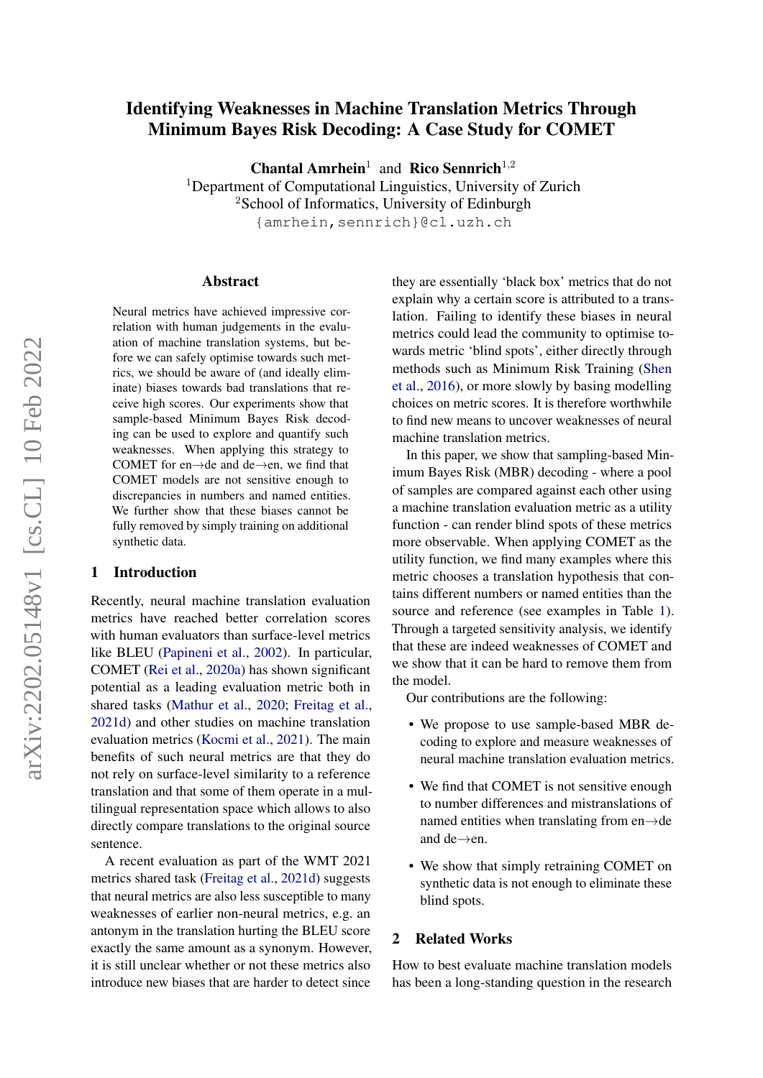# Identifying Weaknesses in Machine Translation Metrics Through Minimum Bayes Risk Decoding: A Case Study for COMET

Chantal Amrhein<sup>1</sup> and Rico Sennrich<sup>1,2</sup>

<sup>1</sup>Department of Computational Linguistics, University of Zurich

<sup>2</sup>School of Informatics, University of Edinburgh

{amrhein,sennrich}@cl.uzh.ch

#### Abstract

Neural metrics have achieved impressive correlation with human judgements in the evaluation of machine translation systems, but before we can safely optimise towards such metrics, we should be aware of (and ideally eliminate) biases towards bad translations that receive high scores. Our experiments show that sample-based Minimum Bayes Risk decoding can be used to explore and quantify such weaknesses. When applying this strategy to COMET for en→de and de→en, we find that COMET models are not sensitive enough to discrepancies in numbers and named entities. We further show that these biases cannot be fully removed by simply training on additional synthetic data.

### 1 Introduction

Recently, neural machine translation evaluation metrics have reached better correlation scores with human evaluators than surface-level metrics like BLEU [\(Papineni et al.,](#page-9-0) [2002\)](#page-9-0). In particular, COMET [\(Rei et al.,](#page-9-1) [2020a\)](#page-9-1) has shown significant potential as a leading evaluation metric both in shared tasks [\(Mathur et al.,](#page-9-2) [2020;](#page-9-2) [Freitag et al.,](#page-8-0) [2021d\)](#page-8-0) and other studies on machine translation evaluation metrics [\(Kocmi et al.,](#page-8-1) [2021\)](#page-8-1). The main benefits of such neural metrics are that they do not rely on surface-level similarity to a reference translation and that some of them operate in a multilingual representation space which allows to also directly compare translations to the original source sentence.

A recent evaluation as part of the WMT 2021 metrics shared task [\(Freitag et al.,](#page-8-0) [2021d\)](#page-8-0) suggests that neural metrics are also less susceptible to many weaknesses of earlier non-neural metrics, e.g. an antonym in the translation hurting the BLEU score exactly the same amount as a synonym. However, it is still unclear whether or not these metrics also introduce new biases that are harder to detect since

they are essentially 'black box' metrics that do not explain why a certain score is attributed to a translation. Failing to identify these biases in neural metrics could lead the community to optimise towards metric 'blind spots', either directly through methods such as Minimum Risk Training [\(Shen](#page-10-0) [et al.,](#page-10-0) [2016\)](#page-10-0), or more slowly by basing modelling choices on metric scores. It is therefore worthwhile to find new means to uncover weaknesses of neural machine translation metrics.

In this paper, we show that sampling-based Minimum Bayes Risk (MBR) decoding - where a pool of samples are compared against each other using a machine translation evaluation metric as a utility function - can render blind spots of these metrics more observable. When applying COMET as the utility function, we find many examples where this metric chooses a translation hypothesis that contains different numbers or named entities than the source and reference (see examples in Table [1\)](#page-1-0). Through a targeted sensitivity analysis, we identify that these are indeed weaknesses of COMET and we show that it can be hard to remove them from the model.

Our contributions are the following:

- We propose to use sample-based MBR decoding to explore and measure weaknesses of neural machine translation evaluation metrics.
- We find that COMET is not sensitive enough to number differences and mistranslations of named entities when translating from en→de and de→en.
- We show that simply retraining COMET on synthetic data is not enough to eliminate these blind spots.

## 2 Related Works

How to best evaluate machine translation models has been a long-standing question in the research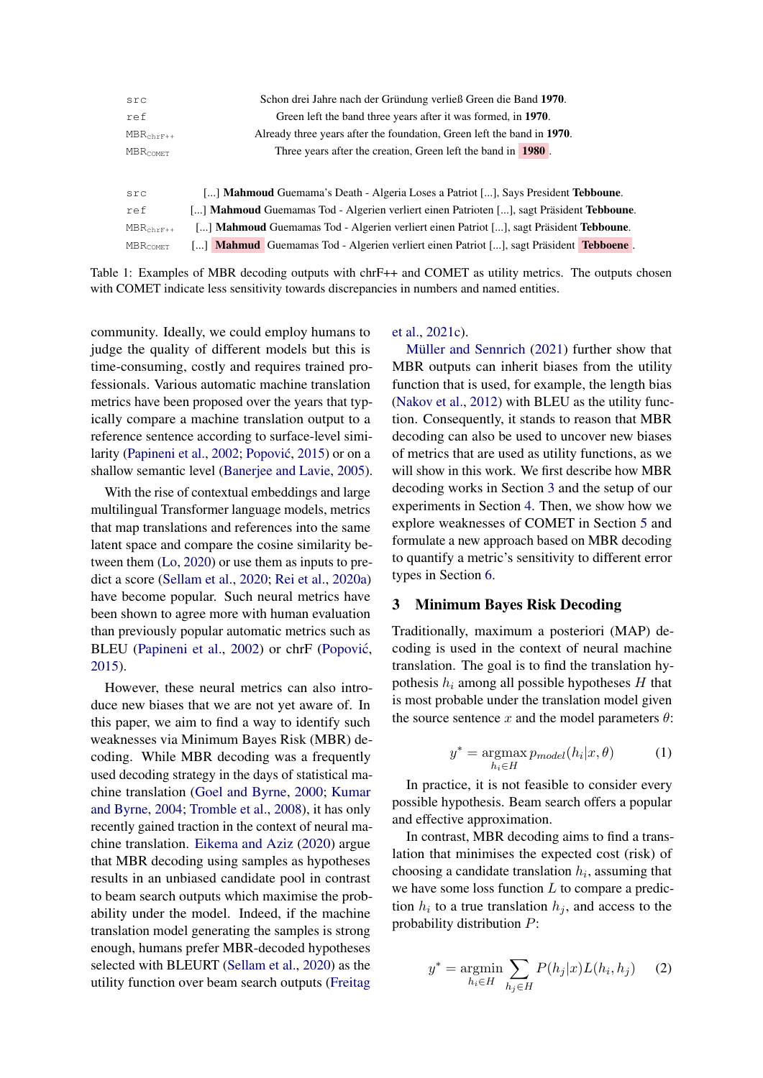<span id="page-1-0"></span>

| src             | Schon drei Jahre nach der Gründung verließ Green die Band 1970.                                         |
|-----------------|---------------------------------------------------------------------------------------------------------|
| ref             | Green left the band three years after it was formed, in 1970.                                           |
| $MBR_{chrF++}$  | Already three years after the foundation, Green left the band in 1970.                                  |
| <b>MBRCOMET</b> | Three years after the creation, Green left the band in 1980.                                            |
|                 |                                                                                                         |
| src             | [] <b>Mahmoud</b> Guemama's Death - Algeria Loses a Patriot [], Says President Tebboune.                |
| ref             | [] <b>Mahmoud</b> Guemamas Tod - Algerien verliert einen Patrioten [], sagt Präsident <b>Tebboune</b> . |
| $MBR_{chrF++}$  | [] <b>Mahmoud</b> Guemamas Tod - Algerien verliert einen Patriot [], sagt Präsident <b>Tebboune</b> .   |
| <b>MBRCOMET</b> | [] <b>Mahmud</b> Guemamas Tod - Algerien verliert einen Patriot [], sagt Präsident Tebboene.            |

Table 1: Examples of MBR decoding outputs with chrF++ and COMET as utility metrics. The outputs chosen with COMET indicate less sensitivity towards discrepancies in numbers and named entities.

community. Ideally, we could employ humans to judge the quality of different models but this is time-consuming, costly and requires trained professionals. Various automatic machine translation metrics have been proposed over the years that typically compare a machine translation output to a reference sentence according to surface-level simi-larity [\(Papineni et al.,](#page-9-0) [2002;](#page-9-0) Popović, [2015\)](#page-9-3) or on a shallow semantic level (Baneriee and Lavie, [2005\)](#page-8-2).

With the rise of contextual embeddings and large multilingual Transformer language models, metrics that map translations and references into the same latent space and compare the cosine similarity between them [\(Lo,](#page-9-4) [2020\)](#page-9-4) or use them as inputs to predict a score [\(Sellam et al.,](#page-9-5) [2020;](#page-9-5) [Rei et al.,](#page-9-1) [2020a\)](#page-9-1) have become popular. Such neural metrics have been shown to agree more with human evaluation than previously popular automatic metrics such as BLEU [\(Papineni et al.,](#page-9-0) [2002\)](#page-9-0) or chrF (Popović, [2015\)](#page-9-3).

However, these neural metrics can also introduce new biases that we are not yet aware of. In this paper, we aim to find a way to identify such weaknesses via Minimum Bayes Risk (MBR) decoding. While MBR decoding was a frequently used decoding strategy in the days of statistical machine translation [\(Goel and Byrne,](#page-8-3) [2000;](#page-8-3) [Kumar](#page-9-6) [and Byrne,](#page-9-6) [2004;](#page-9-6) [Tromble et al.,](#page-10-1) [2008\)](#page-10-1), it has only recently gained traction in the context of neural machine translation. [Eikema and Aziz](#page-8-4) [\(2020\)](#page-8-4) argue that MBR decoding using samples as hypotheses results in an unbiased candidate pool in contrast to beam search outputs which maximise the probability under the model. Indeed, if the machine translation model generating the samples is strong enough, humans prefer MBR-decoded hypotheses selected with BLEURT [\(Sellam et al.,](#page-9-5) [2020\)](#page-9-5) as the utility function over beam search outputs [\(Freitag](#page-8-5)

#### [et al.,](#page-8-5) [2021c\)](#page-8-5).

[Müller and Sennrich](#page-9-7) [\(2021\)](#page-9-7) further show that MBR outputs can inherit biases from the utility function that is used, for example, the length bias [\(Nakov et al.,](#page-9-8) [2012\)](#page-9-8) with BLEU as the utility function. Consequently, it stands to reason that MBR decoding can also be used to uncover new biases of metrics that are used as utility functions, as we will show in this work. We first describe how MBR decoding works in Section [3](#page-1-1) and the setup of our experiments in Section [4.](#page-2-0) Then, we show how we explore weaknesses of COMET in Section [5](#page-3-0) and formulate a new approach based on MBR decoding to quantify a metric's sensitivity to different error types in Section [6.](#page-4-0)

### <span id="page-1-1"></span>3 Minimum Bayes Risk Decoding

Traditionally, maximum a posteriori (MAP) decoding is used in the context of neural machine translation. The goal is to find the translation hypothesis  $h_i$  among all possible hypotheses  $H$  that is most probable under the translation model given the source sentence x and the model parameters  $\theta$ :

$$
y^* = \underset{h_i \in H}{\operatorname{argmax}} p_{model}(h_i | x, \theta) \tag{1}
$$

In practice, it is not feasible to consider every possible hypothesis. Beam search offers a popular and effective approximation.

In contrast, MBR decoding aims to find a translation that minimises the expected cost (risk) of choosing a candidate translation  $h_i$ , assuming that we have some loss function  $L$  to compare a prediction  $h_i$  to a true translation  $h_j$ , and access to the probability distribution P:

$$
y^* = \underset{h_i \in H}{\text{argmin}} \sum_{h_j \in H} P(h_j|x) L(h_i, h_j) \tag{2}
$$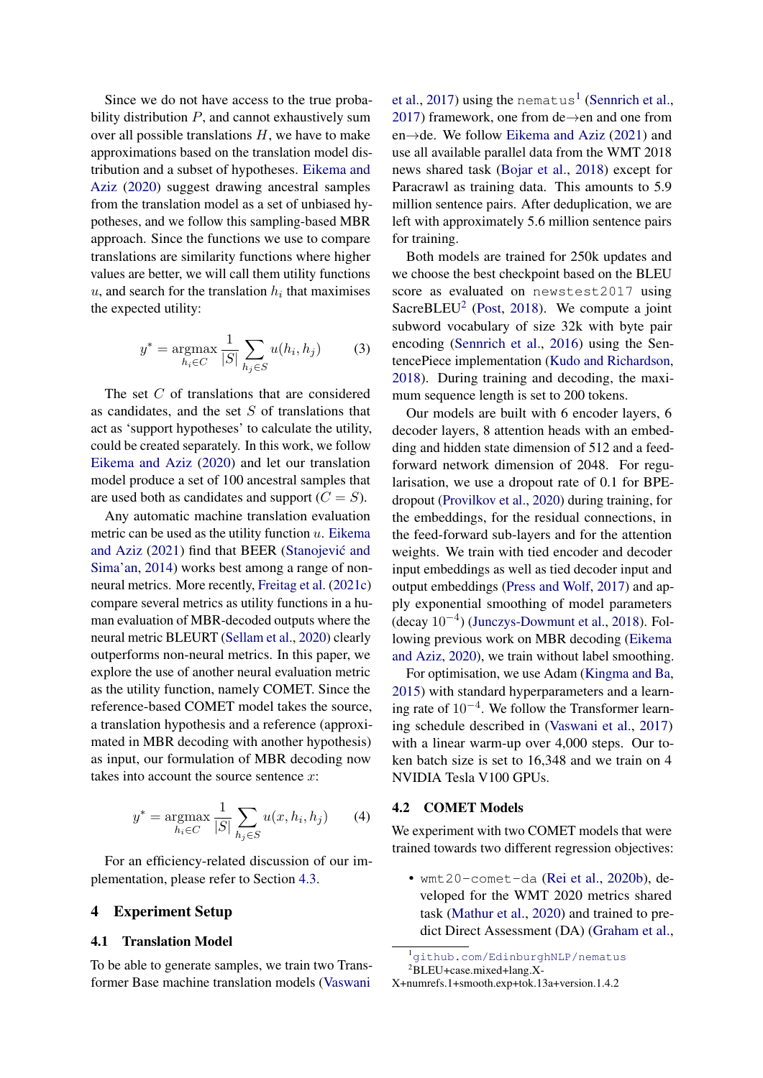Since we do not have access to the true probability distribution  $P$ , and cannot exhaustively sum over all possible translations  $H$ , we have to make approximations based on the translation model distribution and a subset of hypotheses. [Eikema and](#page-8-4) [Aziz](#page-8-4) [\(2020\)](#page-8-4) suggest drawing ancestral samples from the translation model as a set of unbiased hypotheses, and we follow this sampling-based MBR approach. Since the functions we use to compare translations are similarity functions where higher values are better, we will call them utility functions  $u$ , and search for the translation  $h_i$  that maximises the expected utility:

$$
y^* = \underset{h_i \in C}{\text{argmax}} \frac{1}{|S|} \sum_{h_j \in S} u(h_i, h_j) \tag{3}
$$

The set C of translations that are considered as candidates, and the set  $S$  of translations that act as 'support hypotheses' to calculate the utility, could be created separately. In this work, we follow [Eikema and Aziz](#page-8-4) [\(2020\)](#page-8-4) and let our translation model produce a set of 100 ancestral samples that are used both as candidates and support  $(C = S)$ .

Any automatic machine translation evaluation metric can be used as the utility function  $u$ . [Eikema](#page-8-6) [and Aziz](#page-8-6) [\(2021\)](#page-8-6) find that BEER (Stanojević and [Sima'an,](#page-10-2) [2014\)](#page-10-2) works best among a range of nonneural metrics. More recently, [Freitag et al.](#page-8-5) [\(2021c\)](#page-8-5) compare several metrics as utility functions in a human evaluation of MBR-decoded outputs where the neural metric BLEURT [\(Sellam et al.,](#page-9-5) [2020\)](#page-9-5) clearly outperforms non-neural metrics. In this paper, we explore the use of another neural evaluation metric as the utility function, namely COMET. Since the reference-based COMET model takes the source, a translation hypothesis and a reference (approximated in MBR decoding with another hypothesis) as input, our formulation of MBR decoding now takes into account the source sentence  $x$ :

$$
y^* = \underset{h_i \in C}{\text{argmax}} \frac{1}{|S|} \sum_{h_j \in S} u(x, h_i, h_j) \tag{4}
$$

For an efficiency-related discussion of our implementation, please refer to Section [4.3.](#page-3-1)

#### <span id="page-2-0"></span>4 Experiment Setup

#### 4.1 Translation Model

To be able to generate samples, we train two Transformer Base machine translation models [\(Vaswani](#page-10-3)

[et al.,](#page-10-3) [2017\)](#page-10-3) using the nematus<sup>[1](#page-2-1)</sup> [\(Sennrich et al.,](#page-9-9) [2017\)](#page-9-9) framework, one from de→en and one from en→de. We follow [Eikema and Aziz](#page-8-6) [\(2021\)](#page-8-6) and use all available parallel data from the WMT 2018 news shared task [\(Bojar et al.,](#page-8-7) [2018\)](#page-8-7) except for Paracrawl as training data. This amounts to 5.9 million sentence pairs. After deduplication, we are left with approximately 5.6 million sentence pairs for training.

Both models are trained for 250k updates and we choose the best checkpoint based on the BLEU score as evaluated on newstest2017 using SacreBLEU<sup>[2](#page-2-2)</sup> [\(Post,](#page-9-10) [2018\)](#page-9-10). We compute a joint subword vocabulary of size 32k with byte pair encoding [\(Sennrich et al.,](#page-10-4) [2016\)](#page-10-4) using the SentencePiece implementation [\(Kudo and Richardson,](#page-8-8) [2018\)](#page-8-8). During training and decoding, the maximum sequence length is set to 200 tokens.

Our models are built with 6 encoder layers, 6 decoder layers, 8 attention heads with an embedding and hidden state dimension of 512 and a feedforward network dimension of 2048. For regularisation, we use a dropout rate of 0.1 for BPEdropout [\(Provilkov et al.,](#page-9-11) [2020\)](#page-9-11) during training, for the embeddings, for the residual connections, in the feed-forward sub-layers and for the attention weights. We train with tied encoder and decoder input embeddings as well as tied decoder input and output embeddings [\(Press and Wolf,](#page-9-12) [2017\)](#page-9-12) and apply exponential smoothing of model parameters (decay 10−<sup>4</sup> ) [\(Junczys-Dowmunt et al.,](#page-8-9) [2018\)](#page-8-9). Following previous work on MBR decoding [\(Eikema](#page-8-4) [and Aziz,](#page-8-4) [2020\)](#page-8-4), we train without label smoothing.

For optimisation, we use Adam [\(Kingma and Ba,](#page-8-10) [2015\)](#page-8-10) with standard hyperparameters and a learning rate of  $10^{-4}$ . We follow the Transformer learning schedule described in [\(Vaswani et al.,](#page-10-3) [2017\)](#page-10-3) with a linear warm-up over 4,000 steps. Our token batch size is set to 16,348 and we train on 4 NVIDIA Tesla V100 GPUs.

#### 4.2 COMET Models

We experiment with two COMET models that were trained towards two different regression objectives:

• wmt20-comet-da [\(Rei et al.,](#page-9-13) [2020b\)](#page-9-13), developed for the WMT 2020 metrics shared task [\(Mathur et al.,](#page-9-2) [2020\)](#page-9-2) and trained to predict Direct Assessment (DA) [\(Graham et al.,](#page-8-11)

<span id="page-2-2"></span><span id="page-2-1"></span><sup>1</sup><github.com/EdinburghNLP/nematus>  ${}^{2}$ BLEU+case.mixed+lang.X-

X+numrefs.1+smooth.exp+tok.13a+version.1.4.2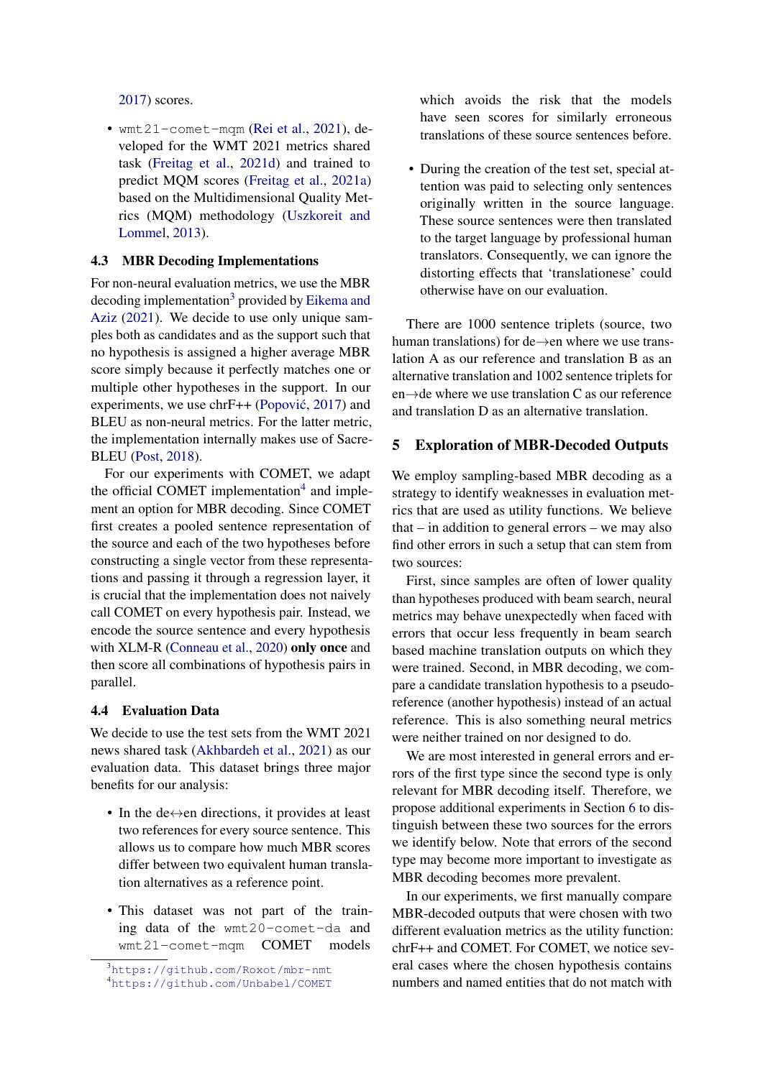[2017\)](#page-8-11) scores.

• wmt21-comet-mqm [\(Rei et al.,](#page-9-14) [2021\)](#page-9-14), developed for the WMT 2021 metrics shared task [\(Freitag et al.,](#page-8-0) [2021d\)](#page-8-0) and trained to predict MQM scores [\(Freitag et al.,](#page-8-12) [2021a\)](#page-8-12) based on the Multidimensional Quality Metrics (MQM) methodology [\(Uszkoreit and](#page-10-5) [Lommel,](#page-10-5) [2013\)](#page-10-5).

## <span id="page-3-1"></span>4.3 MBR Decoding Implementations

For non-neural evaluation metrics, we use the MBR decoding implementation<sup>[3](#page-3-2)</sup> provided by [Eikema and](#page-8-6) [Aziz](#page-8-6) [\(2021\)](#page-8-6). We decide to use only unique samples both as candidates and as the support such that no hypothesis is assigned a higher average MBR score simply because it perfectly matches one or multiple other hypotheses in the support. In our experiments, we use  $chrF++ (Popović, 2017)$  $chrF++ (Popović, 2017)$  and BLEU as non-neural metrics. For the latter metric, the implementation internally makes use of Sacre-BLEU [\(Post,](#page-9-10) [2018\)](#page-9-10).

For our experiments with COMET, we adapt the official COMET implementation<sup>[4](#page-3-3)</sup> and implement an option for MBR decoding. Since COMET first creates a pooled sentence representation of the source and each of the two hypotheses before constructing a single vector from these representations and passing it through a regression layer, it is crucial that the implementation does not naively call COMET on every hypothesis pair. Instead, we encode the source sentence and every hypothesis with XLM-R [\(Conneau et al.,](#page-8-13) [2020\)](#page-8-13) only once and then score all combinations of hypothesis pairs in parallel.

### 4.4 Evaluation Data

We decide to use the test sets from the WMT 2021 news shared task [\(Akhbardeh et al.,](#page-7-0) [2021\)](#page-7-0) as our evaluation data. This dataset brings three major benefits for our analysis:

- In the de $\leftrightarrow$ en directions, it provides at least two references for every source sentence. This allows us to compare how much MBR scores differ between two equivalent human translation alternatives as a reference point.
- This dataset was not part of the training data of the wmt20-comet-da and wmt21-comet-mqm COMET models

which avoids the risk that the models have seen scores for similarly erroneous translations of these source sentences before.

• During the creation of the test set, special attention was paid to selecting only sentences originally written in the source language. These source sentences were then translated to the target language by professional human translators. Consequently, we can ignore the distorting effects that 'translationese' could otherwise have on our evaluation.

There are 1000 sentence triplets (source, two human translations) for de→en where we use translation A as our reference and translation B as an alternative translation and 1002 sentence triplets for en→de where we use translation C as our reference and translation D as an alternative translation.

## <span id="page-3-0"></span>5 Exploration of MBR-Decoded Outputs

We employ sampling-based MBR decoding as a strategy to identify weaknesses in evaluation metrics that are used as utility functions. We believe that – in addition to general errors – we may also find other errors in such a setup that can stem from two sources:

First, since samples are often of lower quality than hypotheses produced with beam search, neural metrics may behave unexpectedly when faced with errors that occur less frequently in beam search based machine translation outputs on which they were trained. Second, in MBR decoding, we compare a candidate translation hypothesis to a pseudoreference (another hypothesis) instead of an actual reference. This is also something neural metrics were neither trained on nor designed to do.

We are most interested in general errors and errors of the first type since the second type is only relevant for MBR decoding itself. Therefore, we propose additional experiments in Section [6](#page-4-0) to distinguish between these two sources for the errors we identify below. Note that errors of the second type may become more important to investigate as MBR decoding becomes more prevalent.

In our experiments, we first manually compare MBR-decoded outputs that were chosen with two different evaluation metrics as the utility function: chrF++ and COMET. For COMET, we notice several cases where the chosen hypothesis contains numbers and named entities that do not match with

<span id="page-3-3"></span><span id="page-3-2"></span><sup>3</sup><https://github.com/Roxot/mbr-nmt> <sup>4</sup><https://github.com/Unbabel/COMET>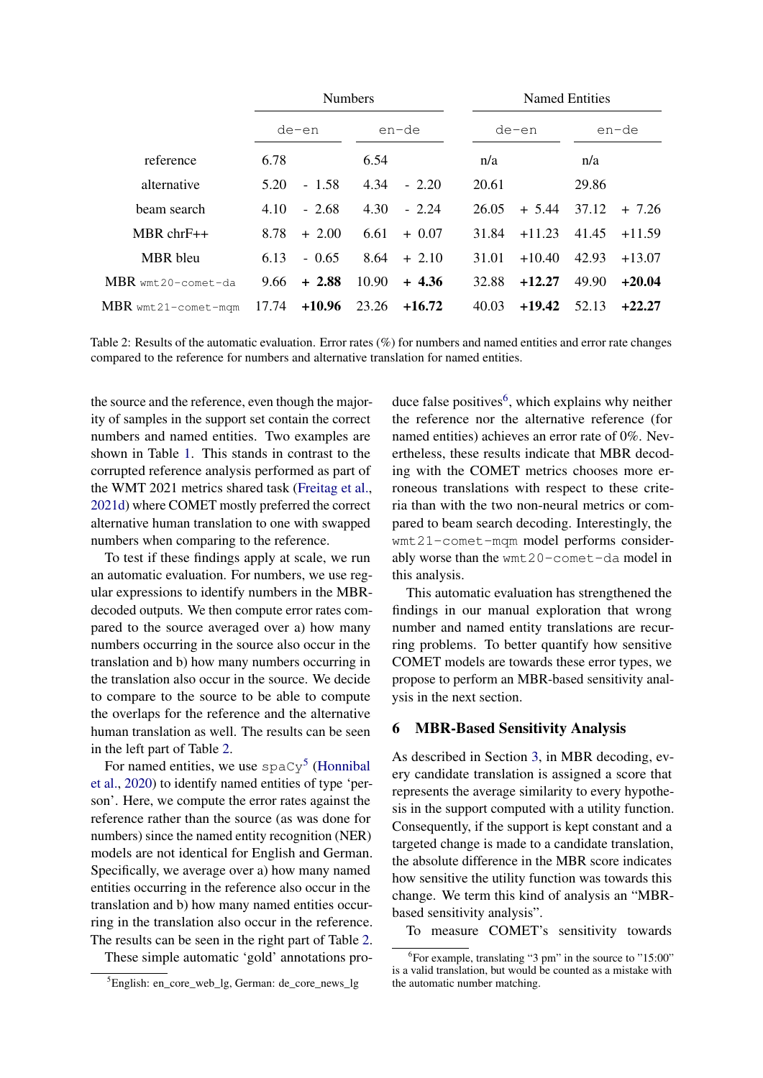<span id="page-4-1"></span>

|                            |       | <b>Numbers</b> |       |          |  | Named Entities |          |       |          |
|----------------------------|-------|----------------|-------|----------|--|----------------|----------|-------|----------|
|                            |       | de-en          |       | en-de    |  | de-en          |          |       | en-de    |
| reference                  | 6.78  |                | 6.54  |          |  | n/a            |          | n/a   |          |
| alternative                | 5.20  | $-1.58$        | 4.34  | $-2.20$  |  | 20.61          |          | 29.86 |          |
| beam search                | 4.10  | $-2.68$        | 4.30  | $-2.24$  |  | 26.05          | $+ 5.44$ | 37.12 | $+ 7.26$ |
| $MBR$ chr $F++$            | 8.78  | $+2.00$        | 6.61  | $+0.07$  |  | 31.84          | $+11.23$ | 41.45 | $+11.59$ |
| MBR bleu                   | 6.13  | $-0.65$        | 8.64  | $+2.10$  |  | 31.01          | $+10.40$ | 42.93 | $+13.07$ |
| $MBR$ wmt20-comet-da       | 9.66  | $+2.88$        | 10.90 | $+4.36$  |  | 32.88          | $+12.27$ | 49.90 | $+20.04$ |
| $\rm{MBR}$ wmt21-comet-mqm | 17.74 | $+10.96$       | 23.26 | $+16.72$ |  | 40.03          | $+19.42$ | 52.13 | $+22.27$ |

Table 2: Results of the automatic evaluation. Error rates (%) for numbers and named entities and error rate changes compared to the reference for numbers and alternative translation for named entities.

the source and the reference, even though the majority of samples in the support set contain the correct numbers and named entities. Two examples are shown in Table [1.](#page-1-0) This stands in contrast to the corrupted reference analysis performed as part of the WMT 2021 metrics shared task [\(Freitag et al.,](#page-8-0) [2021d\)](#page-8-0) where COMET mostly preferred the correct alternative human translation to one with swapped numbers when comparing to the reference.

To test if these findings apply at scale, we run an automatic evaluation. For numbers, we use regular expressions to identify numbers in the MBRdecoded outputs. We then compute error rates compared to the source averaged over a) how many numbers occurring in the source also occur in the translation and b) how many numbers occurring in the translation also occur in the source. We decide to compare to the source to be able to compute the overlaps for the reference and the alternative human translation as well. The results can be seen in the left part of Table [2.](#page-4-1)

For named entities, we use  $\text{spacy}^5$  $\text{spacy}^5$  [\(Honnibal](#page-8-14) [et al.,](#page-8-14) [2020\)](#page-8-14) to identify named entities of type 'person'. Here, we compute the error rates against the reference rather than the source (as was done for numbers) since the named entity recognition (NER) models are not identical for English and German. Specifically, we average over a) how many named entities occurring in the reference also occur in the translation and b) how many named entities occurring in the translation also occur in the reference. The results can be seen in the right part of Table [2.](#page-4-1)

These simple automatic 'gold' annotations pro-

duce false positives<sup>[6](#page-4-3)</sup>, which explains why neither the reference nor the alternative reference (for named entities) achieves an error rate of 0%. Nevertheless, these results indicate that MBR decoding with the COMET metrics chooses more erroneous translations with respect to these criteria than with the two non-neural metrics or compared to beam search decoding. Interestingly, the wmt21-comet-mqm model performs considerably worse than the wmt20-comet-da model in this analysis.

This automatic evaluation has strengthened the findings in our manual exploration that wrong number and named entity translations are recurring problems. To better quantify how sensitive COMET models are towards these error types, we propose to perform an MBR-based sensitivity analysis in the next section.

#### <span id="page-4-0"></span>6 MBR-Based Sensitivity Analysis

As described in Section [3,](#page-1-1) in MBR decoding, every candidate translation is assigned a score that represents the average similarity to every hypothesis in the support computed with a utility function. Consequently, if the support is kept constant and a targeted change is made to a candidate translation, the absolute difference in the MBR score indicates how sensitive the utility function was towards this change. We term this kind of analysis an "MBRbased sensitivity analysis".

To measure COMET's sensitivity towards

<span id="page-4-2"></span> ${}^{5}$ English: en\_core\_web\_lg, German: de\_core\_news\_lg

<span id="page-4-3"></span><sup>6</sup> For example, translating "3 pm" in the source to "15:00" is a valid translation, but would be counted as a mistake with the automatic number matching.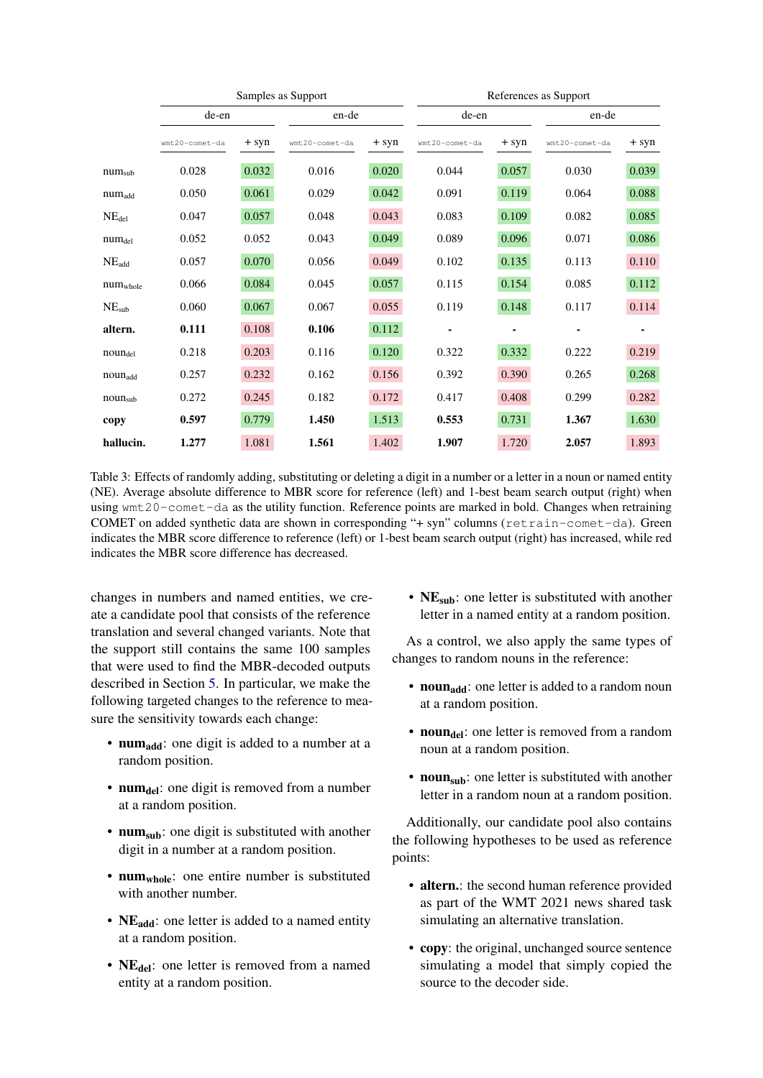<span id="page-5-0"></span>

|                     |                |        | Samples as Support | References as Support |                |        |                |        |
|---------------------|----------------|--------|--------------------|-----------------------|----------------|--------|----------------|--------|
|                     | de-en          |        | en-de              |                       |                |        | en-de          |        |
|                     | wmt20-comet-da | $+syn$ | wmt20-comet-da     | + syn                 | wmt20-comet-da | $+syn$ | wmt20-comet-da | $+syn$ |
| $num_{sub}$         | 0.028          | 0.032  | 0.016              | 0.020                 | 0.044          | 0.057  | 0.030          | 0.039  |
| $num_{add}$         | 0.050          | 0.061  | 0.029              | 0.042                 | 0.091          | 0.119  | 0.064          | 0.088  |
| $NE_{del}$          | 0.047          | 0.057  | 0.048              | 0.043                 | 0.083          | 0.109  | 0.082          | 0.085  |
| $num_{del}$         | 0.052          | 0.052  | 0.043              | 0.049                 | 0.089          | 0.096  | 0.071          | 0.086  |
| $NE_{add}$          | 0.057          | 0.070  | 0.056              | 0.049                 | 0.102          | 0.135  | 0.113          | 0.110  |
| $num_{whole}$       | 0.066          | 0.084  | 0.045              | 0.057                 | 0.115          | 0.154  | 0.085          | 0.112  |
| NE <sub>sub</sub>   | 0.060          | 0.067  | 0.067              | 0.055                 | 0.119          | 0.148  | 0.117          | 0.114  |
| altern.             | 0.111          | 0.108  | 0.106              | 0.112                 |                |        |                |        |
| $noun_{del}$        | 0.218          | 0.203  | 0.116              | 0.120                 | 0.322          | 0.332  | 0.222          | 0.219  |
| nounadd             | 0.257          | 0.232  | 0.162              | 0.156                 | 0.392          | 0.390  | 0.265          | 0.268  |
| noun <sub>sub</sub> | 0.272          | 0.245  | 0.182              | 0.172                 | 0.417          | 0.408  | 0.299          | 0.282  |
| copy                | 0.597          | 0.779  | 1.450              | 1.513                 | 0.553          | 0.731  | 1.367          | 1.630  |
| hallucin.           | 1.277          | 1.081  | 1.561              | 1.402                 | 1.907          | 1.720  | 2.057          | 1.893  |

Table 3: Effects of randomly adding, substituting or deleting a digit in a number or a letter in a noun or named entity (NE). Average absolute difference to MBR score for reference (left) and 1-best beam search output (right) when using wmt20-comet-da as the utility function. Reference points are marked in bold. Changes when retraining COMET on added synthetic data are shown in corresponding "+ syn" columns (retrain-comet-da). Green indicates the MBR score difference to reference (left) or 1-best beam search output (right) has increased, while red indicates the MBR score difference has decreased.

changes in numbers and named entities, we create a candidate pool that consists of the reference translation and several changed variants. Note that the support still contains the same 100 samples that were used to find the MBR-decoded outputs described in Section [5.](#page-3-0) In particular, we make the following targeted changes to the reference to measure the sensitivity towards each change:

- num<sub>add</sub>: one digit is added to a number at a random position.
- num<sub>del</sub>: one digit is removed from a number at a random position.
- num<sub>sub</sub>: one digit is substituted with another digit in a number at a random position.
- num<sub>whole</sub>: one entire number is substituted with another number.
- NE<sub>add</sub>: one letter is added to a named entity at a random position.
- NE<sub>del</sub>: one letter is removed from a named entity at a random position.

• NE<sub>sub</sub>: one letter is substituted with another letter in a named entity at a random position.

As a control, we also apply the same types of changes to random nouns in the reference:

- noun<sub>add</sub>: one letter is added to a random noun at a random position.
- noun<sub>del</sub>: one letter is removed from a random noun at a random position.
- noun<sub>sub</sub>: one letter is substituted with another letter in a random noun at a random position.

Additionally, our candidate pool also contains the following hypotheses to be used as reference points:

- altern.: the second human reference provided as part of the WMT 2021 news shared task simulating an alternative translation.
- copy: the original, unchanged source sentence simulating a model that simply copied the source to the decoder side.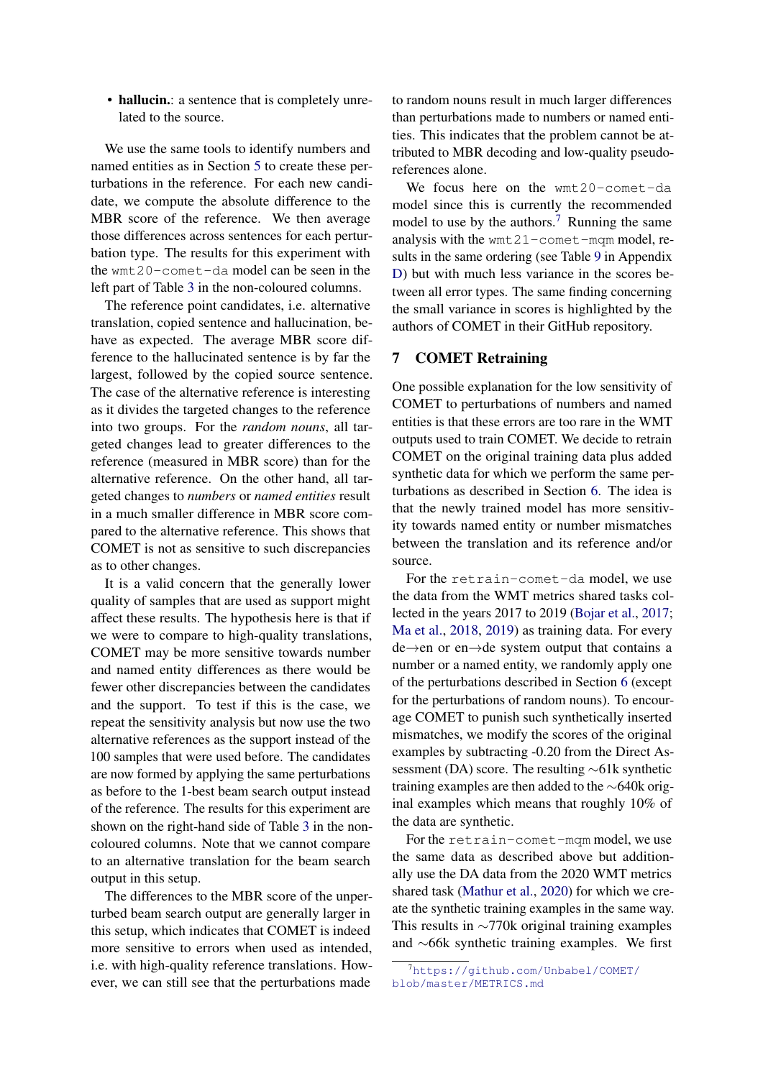• hallucin.: a sentence that is completely unrelated to the source.

We use the same tools to identify numbers and named entities as in Section [5](#page-3-0) to create these perturbations in the reference. For each new candidate, we compute the absolute difference to the MBR score of the reference. We then average those differences across sentences for each perturbation type. The results for this experiment with the wmt20-comet-da model can be seen in the left part of Table [3](#page-5-0) in the non-coloured columns.

The reference point candidates, i.e. alternative translation, copied sentence and hallucination, behave as expected. The average MBR score difference to the hallucinated sentence is by far the largest, followed by the copied source sentence. The case of the alternative reference is interesting as it divides the targeted changes to the reference into two groups. For the *random nouns*, all targeted changes lead to greater differences to the reference (measured in MBR score) than for the alternative reference. On the other hand, all targeted changes to *numbers* or *named entities* result in a much smaller difference in MBR score compared to the alternative reference. This shows that COMET is not as sensitive to such discrepancies as to other changes.

It is a valid concern that the generally lower quality of samples that are used as support might affect these results. The hypothesis here is that if we were to compare to high-quality translations, COMET may be more sensitive towards number and named entity differences as there would be fewer other discrepancies between the candidates and the support. To test if this is the case, we repeat the sensitivity analysis but now use the two alternative references as the support instead of the 100 samples that were used before. The candidates are now formed by applying the same perturbations as before to the 1-best beam search output instead of the reference. The results for this experiment are shown on the right-hand side of Table [3](#page-5-0) in the noncoloured columns. Note that we cannot compare to an alternative translation for the beam search output in this setup.

The differences to the MBR score of the unperturbed beam search output are generally larger in this setup, which indicates that COMET is indeed more sensitive to errors when used as intended, i.e. with high-quality reference translations. However, we can still see that the perturbations made

to random nouns result in much larger differences than perturbations made to numbers or named entities. This indicates that the problem cannot be attributed to MBR decoding and low-quality pseudoreferences alone.

We focus here on the wmt20-comet-da model since this is currently the recommended model to use by the authors.<sup>[7](#page-6-0)</sup> Running the same analysis with the wmt21-comet-mqm model, results in the same ordering (see Table [9](#page-13-0) in Appendix [D\)](#page-13-1) but with much less variance in the scores between all error types. The same finding concerning the small variance in scores is highlighted by the authors of COMET in their GitHub repository.

## <span id="page-6-1"></span>7 COMET Retraining

One possible explanation for the low sensitivity of COMET to perturbations of numbers and named entities is that these errors are too rare in the WMT outputs used to train COMET. We decide to retrain COMET on the original training data plus added synthetic data for which we perform the same perturbations as described in Section [6.](#page-4-0) The idea is that the newly trained model has more sensitivity towards named entity or number mismatches between the translation and its reference and/or source.

For the retrain-comet-da model, we use the data from the WMT metrics shared tasks collected in the years 2017 to 2019 [\(Bojar et al.,](#page-8-15) [2017;](#page-8-15) [Ma et al.,](#page-9-16) [2018,](#page-9-16) [2019\)](#page-9-17) as training data. For every de→en or en→de system output that contains a number or a named entity, we randomly apply one of the perturbations described in Section [6](#page-4-0) (except for the perturbations of random nouns). To encourage COMET to punish such synthetically inserted mismatches, we modify the scores of the original examples by subtracting -0.20 from the Direct Assessment (DA) score. The resulting ∼61k synthetic training examples are then added to the ∼640k original examples which means that roughly 10% of the data are synthetic.

For the retrain-comet-mqm model, we use the same data as described above but additionally use the DA data from the 2020 WMT metrics shared task [\(Mathur et al.,](#page-9-2) [2020\)](#page-9-2) for which we create the synthetic training examples in the same way. This results in ∼770k original training examples and ∼66k synthetic training examples. We first

<span id="page-6-0"></span><sup>7</sup>[https://github.com/Unbabel/COMET/](https://github.com/Unbabel/COMET/blob/master/METRICS.md) [blob/master/METRICS.md](https://github.com/Unbabel/COMET/blob/master/METRICS.md)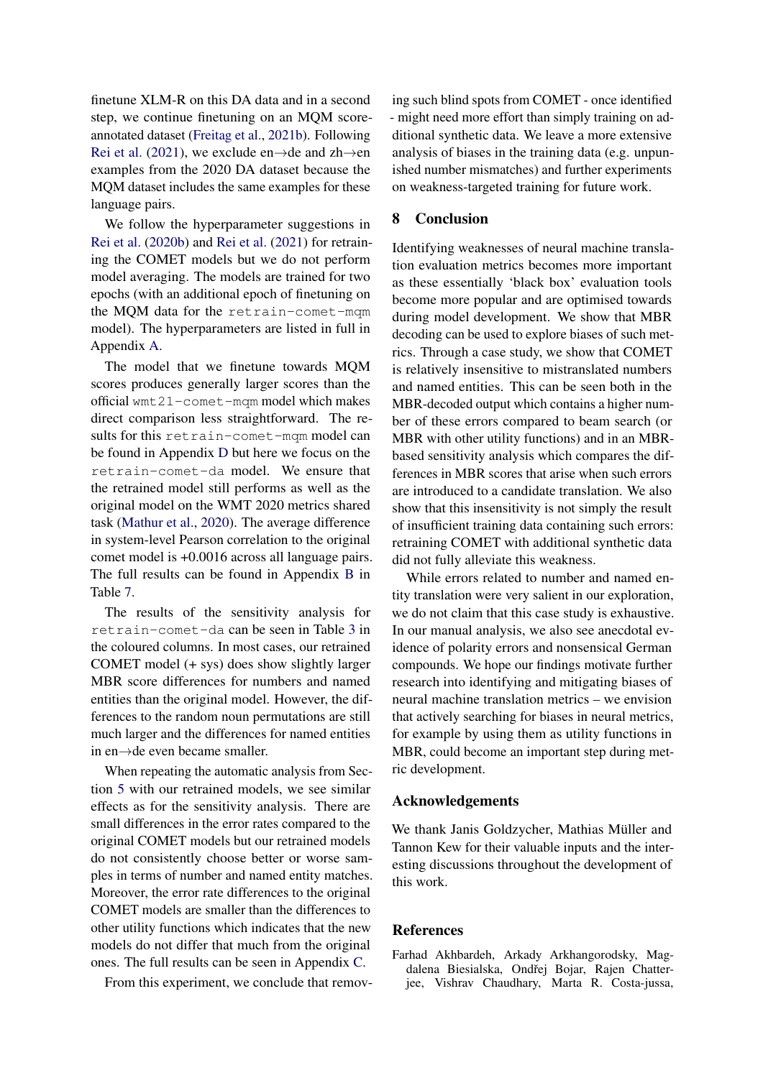finetune XLM-R on this DA data and in a second step, we continue finetuning on an MQM scoreannotated dataset [\(Freitag et al.,](#page-8-16) [2021b\)](#page-8-16). Following [Rei et al.](#page-9-14) [\(2021\)](#page-9-14), we exclude en→de and zh→en examples from the 2020 DA dataset because the MQM dataset includes the same examples for these language pairs.

We follow the hyperparameter suggestions in [Rei et al.](#page-9-13) [\(2020b\)](#page-9-13) and [Rei et al.](#page-9-14) [\(2021\)](#page-9-14) for retraining the COMET models but we do not perform model averaging. The models are trained for two epochs (with an additional epoch of finetuning on the MQM data for the retrain-comet-mqm model). The hyperparameters are listed in full in Appendix [A.](#page-11-0)

The model that we finetune towards MQM scores produces generally larger scores than the official wmt21-comet-mqm model which makes direct comparison less straightforward. The results for this retrain-comet-mqm model can be found in Appendix [D](#page-13-1) but here we focus on the retrain-comet-da model. We ensure that the retrained model still performs as well as the original model on the WMT 2020 metrics shared task [\(Mathur et al.,](#page-9-2) [2020\)](#page-9-2). The average difference in system-level Pearson correlation to the original comet model is +0.0016 across all language pairs. The full results can be found in Appendix [B](#page-11-1) in Table [7.](#page-12-0)

The results of the sensitivity analysis for retrain-comet-da can be seen in Table [3](#page-5-0) in the coloured columns. In most cases, our retrained COMET model (+ sys) does show slightly larger MBR score differences for numbers and named entities than the original model. However, the differences to the random noun permutations are still much larger and the differences for named entities in en→de even became smaller.

When repeating the automatic analysis from Section [5](#page-3-0) with our retrained models, we see similar effects as for the sensitivity analysis. There are small differences in the error rates compared to the original COMET models but our retrained models do not consistently choose better or worse samples in terms of number and named entity matches. Moreover, the error rate differences to the original COMET models are smaller than the differences to other utility functions which indicates that the new models do not differ that much from the original ones. The full results can be seen in Appendix [C.](#page-11-2)

From this experiment, we conclude that remov-

ing such blind spots from COMET - once identified - might need more effort than simply training on additional synthetic data. We leave a more extensive analysis of biases in the training data (e.g. unpunished number mismatches) and further experiments on weakness-targeted training for future work.

## 8 Conclusion

Identifying weaknesses of neural machine translation evaluation metrics becomes more important as these essentially 'black box' evaluation tools become more popular and are optimised towards during model development. We show that MBR decoding can be used to explore biases of such metrics. Through a case study, we show that COMET is relatively insensitive to mistranslated numbers and named entities. This can be seen both in the MBR-decoded output which contains a higher number of these errors compared to beam search (or MBR with other utility functions) and in an MBRbased sensitivity analysis which compares the differences in MBR scores that arise when such errors are introduced to a candidate translation. We also show that this insensitivity is not simply the result of insufficient training data containing such errors: retraining COMET with additional synthetic data did not fully alleviate this weakness.

While errors related to number and named entity translation were very salient in our exploration, we do not claim that this case study is exhaustive. In our manual analysis, we also see anecdotal evidence of polarity errors and nonsensical German compounds. We hope our findings motivate further research into identifying and mitigating biases of neural machine translation metrics – we envision that actively searching for biases in neural metrics, for example by using them as utility functions in MBR, could become an important step during metric development.

## Acknowledgements

We thank Janis Goldzycher, Mathias Müller and Tannon Kew for their valuable inputs and the interesting discussions throughout the development of this work.

### References

<span id="page-7-0"></span>Farhad Akhbardeh, Arkady Arkhangorodsky, Magdalena Biesialska, Ondřej Bojar, Rajen Chatterjee, Vishrav Chaudhary, Marta R. Costa-jussa,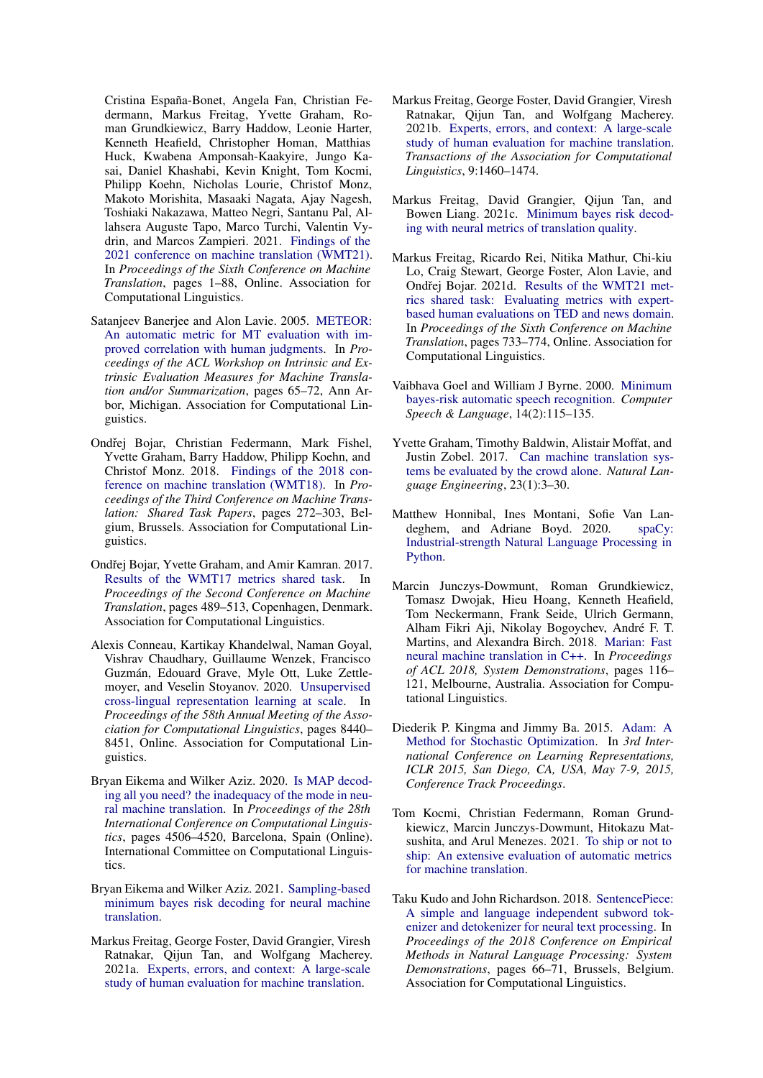Cristina España-Bonet, Angela Fan, Christian Federmann, Markus Freitag, Yvette Graham, Roman Grundkiewicz, Barry Haddow, Leonie Harter, Kenneth Heafield, Christopher Homan, Matthias Huck, Kwabena Amponsah-Kaakyire, Jungo Kasai, Daniel Khashabi, Kevin Knight, Tom Kocmi, Philipp Koehn, Nicholas Lourie, Christof Monz, Makoto Morishita, Masaaki Nagata, Ajay Nagesh, Toshiaki Nakazawa, Matteo Negri, Santanu Pal, Allahsera Auguste Tapo, Marco Turchi, Valentin Vydrin, and Marcos Zampieri. 2021. [Findings of the](https://aclanthology.org/2021.wmt-1.1) [2021 conference on machine translation \(WMT21\).](https://aclanthology.org/2021.wmt-1.1) In *Proceedings of the Sixth Conference on Machine Translation*, pages 1–88, Online. Association for Computational Linguistics.

- <span id="page-8-2"></span>Satanjeev Banerjee and Alon Lavie. 2005. [METEOR:](https://aclanthology.org/W05-0909) [An automatic metric for MT evaluation with im](https://aclanthology.org/W05-0909)[proved correlation with human judgments.](https://aclanthology.org/W05-0909) In *Proceedings of the ACL Workshop on Intrinsic and Extrinsic Evaluation Measures for Machine Translation and/or Summarization*, pages 65–72, Ann Arbor, Michigan. Association for Computational Linguistics.
- <span id="page-8-7"></span>Ondřej Bojar, Christian Federmann, Mark Fishel, Yvette Graham, Barry Haddow, Philipp Koehn, and Christof Monz. 2018. [Findings of the 2018 con](https://doi.org/10.18653/v1/W18-6401)[ference on machine translation \(WMT18\).](https://doi.org/10.18653/v1/W18-6401) In *Proceedings of the Third Conference on Machine Translation: Shared Task Papers*, pages 272–303, Belgium, Brussels. Association for Computational Linguistics.
- <span id="page-8-15"></span>Ondřej Bojar, Yvette Graham, and Amir Kamran. 2017. [Results of the WMT17 metrics shared task.](https://doi.org/10.18653/v1/W17-4755) In *Proceedings of the Second Conference on Machine Translation*, pages 489–513, Copenhagen, Denmark. Association for Computational Linguistics.
- <span id="page-8-13"></span>Alexis Conneau, Kartikay Khandelwal, Naman Goyal, Vishrav Chaudhary, Guillaume Wenzek, Francisco Guzmán, Edouard Grave, Myle Ott, Luke Zettlemoyer, and Veselin Stoyanov. 2020. [Unsupervised](https://doi.org/10.18653/v1/2020.acl-main.747) [cross-lingual representation learning at scale.](https://doi.org/10.18653/v1/2020.acl-main.747) In *Proceedings of the 58th Annual Meeting of the Association for Computational Linguistics*, pages 8440– 8451, Online. Association for Computational Linguistics.
- <span id="page-8-4"></span>Bryan Eikema and Wilker Aziz. 2020. [Is MAP decod](https://doi.org/10.18653/v1/2020.coling-main.398)[ing all you need? the inadequacy of the mode in neu](https://doi.org/10.18653/v1/2020.coling-main.398)[ral machine translation.](https://doi.org/10.18653/v1/2020.coling-main.398) In *Proceedings of the 28th International Conference on Computational Linguistics*, pages 4506–4520, Barcelona, Spain (Online). International Committee on Computational Linguistics.
- <span id="page-8-6"></span>Bryan Eikema and Wilker Aziz. 2021. [Sampling-based](http://arxiv.org/abs/2108.04718) [minimum bayes risk decoding for neural machine](http://arxiv.org/abs/2108.04718) [translation.](http://arxiv.org/abs/2108.04718)
- <span id="page-8-12"></span>Markus Freitag, George Foster, David Grangier, Viresh Ratnakar, Qijun Tan, and Wolfgang Macherey. 2021a. [Experts, errors, and context: A large-scale](http://arxiv.org/abs/2104.14478) [study of human evaluation for machine translation.](http://arxiv.org/abs/2104.14478)
- <span id="page-8-16"></span>Markus Freitag, George Foster, David Grangier, Viresh Ratnakar, Qijun Tan, and Wolfgang Macherey. 2021b. [Experts, errors, and context: A large-scale](https://doi.org/10.1162/tacl_a_00437) [study of human evaluation for machine translation.](https://doi.org/10.1162/tacl_a_00437) *Transactions of the Association for Computational Linguistics*, 9:1460–1474.
- <span id="page-8-5"></span>Markus Freitag, David Grangier, Qijun Tan, and Bowen Liang. 2021c. [Minimum bayes risk decod](http://arxiv.org/abs/2111.09388)[ing with neural metrics of translation quality.](http://arxiv.org/abs/2111.09388)
- <span id="page-8-0"></span>Markus Freitag, Ricardo Rei, Nitika Mathur, Chi-kiu Lo, Craig Stewart, George Foster, Alon Lavie, and Ondřej Bojar. 2021d. [Results of the WMT21 met](https://aclanthology.org/2021.wmt-1.73)[rics shared task: Evaluating metrics with expert](https://aclanthology.org/2021.wmt-1.73)[based human evaluations on TED and news domain.](https://aclanthology.org/2021.wmt-1.73) In *Proceedings of the Sixth Conference on Machine Translation*, pages 733–774, Online. Association for Computational Linguistics.
- <span id="page-8-3"></span>Vaibhava Goel and William J Byrne. 2000. [Minimum](https://doi.org/https://doi.org/10.1006/csla.2000.0138) [bayes-risk automatic speech recognition.](https://doi.org/https://doi.org/10.1006/csla.2000.0138) *Computer Speech & Language*, 14(2):115–135.
- <span id="page-8-11"></span>Yvette Graham, Timothy Baldwin, Alistair Moffat, and Justin Zobel. 2017. [Can machine translation sys](https://doi.org/10.1017/S1351324915000339)[tems be evaluated by the crowd alone.](https://doi.org/10.1017/S1351324915000339) *Natural Language Engineering*, 23(1):3–30.
- <span id="page-8-14"></span>Matthew Honnibal, Ines Montani, Sofie Van Landeghem, and Adriane Boyd. 2020. [spaCy:](https://doi.org/10.5281/zenodo.1212303) [Industrial-strength Natural Language Processing in](https://doi.org/10.5281/zenodo.1212303) [Python.](https://doi.org/10.5281/zenodo.1212303)
- <span id="page-8-9"></span>Marcin Junczys-Dowmunt, Roman Grundkiewicz, Tomasz Dwojak, Hieu Hoang, Kenneth Heafield, Tom Neckermann, Frank Seide, Ulrich Germann, Alham Fikri Aji, Nikolay Bogoychev, André F. T. Martins, and Alexandra Birch. 2018. [Marian: Fast](https://doi.org/10.18653/v1/P18-4020) [neural machine translation in C++.](https://doi.org/10.18653/v1/P18-4020) In *Proceedings of ACL 2018, System Demonstrations*, pages 116– 121, Melbourne, Australia. Association for Computational Linguistics.
- <span id="page-8-10"></span>Diederik P. Kingma and Jimmy Ba. 2015. [Adam: A](http://arxiv.org/abs/1412.6980) [Method for Stochastic Optimization.](http://arxiv.org/abs/1412.6980) In *3rd International Conference on Learning Representations, ICLR 2015, San Diego, CA, USA, May 7-9, 2015, Conference Track Proceedings*.
- <span id="page-8-1"></span>Tom Kocmi, Christian Federmann, Roman Grundkiewicz, Marcin Junczys-Dowmunt, Hitokazu Matsushita, and Arul Menezes. 2021. [To ship or not to](http://arxiv.org/abs/2107.10821) [ship: An extensive evaluation of automatic metrics](http://arxiv.org/abs/2107.10821) [for machine translation.](http://arxiv.org/abs/2107.10821)
- <span id="page-8-8"></span>Taku Kudo and John Richardson. 2018. [SentencePiece:](https://doi.org/10.18653/v1/D18-2012) [A simple and language independent subword tok](https://doi.org/10.18653/v1/D18-2012)[enizer and detokenizer for neural text processing.](https://doi.org/10.18653/v1/D18-2012) In *Proceedings of the 2018 Conference on Empirical Methods in Natural Language Processing: System Demonstrations*, pages 66–71, Brussels, Belgium. Association for Computational Linguistics.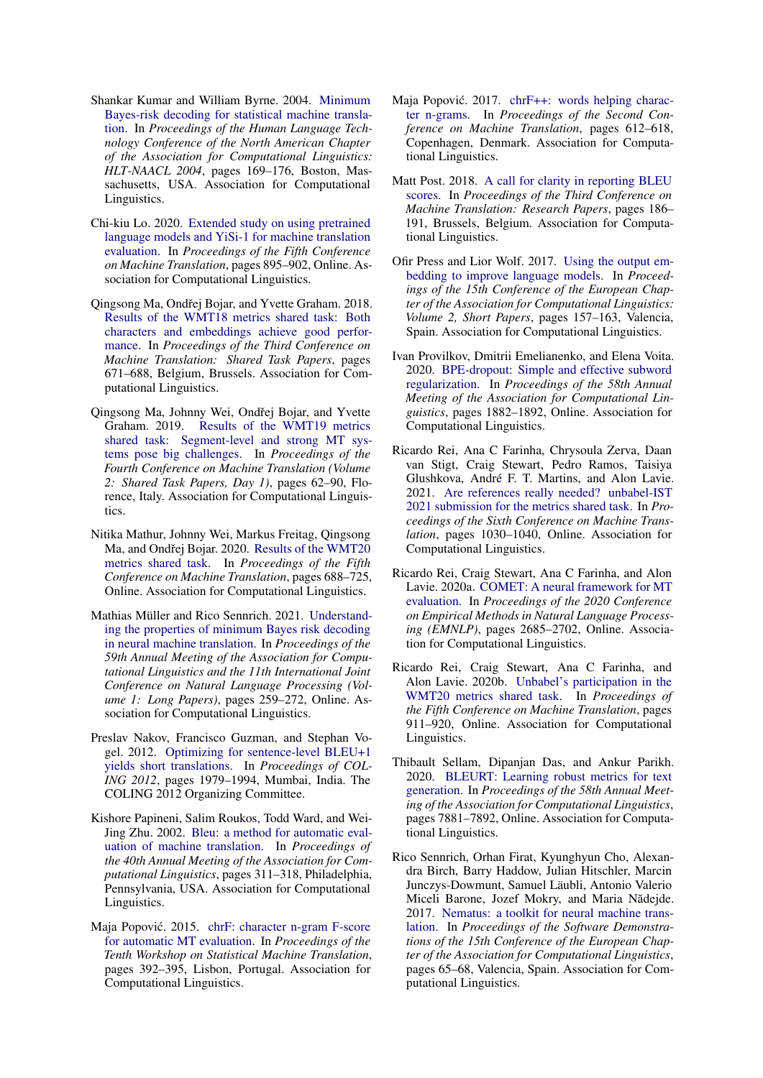- <span id="page-9-6"></span>Shankar Kumar and William Byrne. 2004. [Minimum](https://aclanthology.org/N04-1022) [Bayes-risk decoding for statistical machine transla](https://aclanthology.org/N04-1022)[tion.](https://aclanthology.org/N04-1022) In *Proceedings of the Human Language Technology Conference of the North American Chapter of the Association for Computational Linguistics: HLT-NAACL 2004*, pages 169–176, Boston, Massachusetts, USA. Association for Computational Linguistics.
- <span id="page-9-4"></span>Chi-kiu Lo. 2020. [Extended study on using pretrained](https://aclanthology.org/2020.wmt-1.99) [language models and YiSi-1 for machine translation](https://aclanthology.org/2020.wmt-1.99) [evaluation.](https://aclanthology.org/2020.wmt-1.99) In *Proceedings of the Fifth Conference on Machine Translation*, pages 895–902, Online. Association for Computational Linguistics.
- <span id="page-9-16"></span>Qingsong Ma, Ondřej Bojar, and Yvette Graham. 2018. [Results of the WMT18 metrics shared task: Both](https://doi.org/10.18653/v1/W18-6450) [characters and embeddings achieve good perfor](https://doi.org/10.18653/v1/W18-6450)[mance.](https://doi.org/10.18653/v1/W18-6450) In *Proceedings of the Third Conference on Machine Translation: Shared Task Papers*, pages 671–688, Belgium, Brussels. Association for Computational Linguistics.
- <span id="page-9-17"></span>Qingsong Ma, Johnny Wei, Ondřej Bojar, and Yvette Graham. 2019. [Results of the WMT19 metrics](https://doi.org/10.18653/v1/W19-5302) [shared task: Segment-level and strong MT sys](https://doi.org/10.18653/v1/W19-5302)[tems pose big challenges.](https://doi.org/10.18653/v1/W19-5302) In *Proceedings of the Fourth Conference on Machine Translation (Volume 2: Shared Task Papers, Day 1)*, pages 62–90, Florence, Italy. Association for Computational Linguistics.
- <span id="page-9-2"></span>Nitika Mathur, Johnny Wei, Markus Freitag, Qingsong Ma, and Ondřej Bojar. 2020. [Results of the WMT20](https://aclanthology.org/2020.wmt-1.77) [metrics shared task.](https://aclanthology.org/2020.wmt-1.77) In *Proceedings of the Fifth Conference on Machine Translation*, pages 688–725, Online. Association for Computational Linguistics.
- <span id="page-9-7"></span>Mathias Müller and Rico Sennrich. 2021. [Understand](https://doi.org/10.18653/v1/2021.acl-long.22)[ing the properties of minimum Bayes risk decoding](https://doi.org/10.18653/v1/2021.acl-long.22) [in neural machine translation.](https://doi.org/10.18653/v1/2021.acl-long.22) In *Proceedings of the 59th Annual Meeting of the Association for Computational Linguistics and the 11th International Joint Conference on Natural Language Processing (Volume 1: Long Papers)*, pages 259–272, Online. Association for Computational Linguistics.
- <span id="page-9-8"></span>Preslav Nakov, Francisco Guzman, and Stephan Vogel. 2012. [Optimizing for sentence-level BLEU+1](https://aclanthology.org/C12-1121) [yields short translations.](https://aclanthology.org/C12-1121) In *Proceedings of COL-ING 2012*, pages 1979–1994, Mumbai, India. The COLING 2012 Organizing Committee.
- <span id="page-9-0"></span>Kishore Papineni, Salim Roukos, Todd Ward, and Wei-Jing Zhu. 2002. [Bleu: a method for automatic eval](https://doi.org/10.3115/1073083.1073135)[uation of machine translation.](https://doi.org/10.3115/1073083.1073135) In *Proceedings of the 40th Annual Meeting of the Association for Computational Linguistics*, pages 311–318, Philadelphia, Pennsylvania, USA. Association for Computational Linguistics.
- <span id="page-9-3"></span>Maja Popović. 2015. [chrF: character n-gram F-score](https://doi.org/10.18653/v1/W15-3049) [for automatic MT evaluation.](https://doi.org/10.18653/v1/W15-3049) In *Proceedings of the Tenth Workshop on Statistical Machine Translation*, pages 392–395, Lisbon, Portugal. Association for Computational Linguistics.
- <span id="page-9-15"></span>Maja Popović. 2017. [chrF++: words helping charac](https://doi.org/10.18653/v1/W17-4770)[ter n-grams.](https://doi.org/10.18653/v1/W17-4770) In *Proceedings of the Second Conference on Machine Translation*, pages 612–618, Copenhagen, Denmark. Association for Computational Linguistics.
- <span id="page-9-10"></span>Matt Post. 2018. [A call for clarity in reporting BLEU](https://doi.org/10.18653/v1/W18-6319) [scores.](https://doi.org/10.18653/v1/W18-6319) In *Proceedings of the Third Conference on Machine Translation: Research Papers*, pages 186– 191, Brussels, Belgium. Association for Computational Linguistics.
- <span id="page-9-12"></span>Ofir Press and Lior Wolf. 2017. [Using the output em](https://aclanthology.org/E17-2025)[bedding to improve language models.](https://aclanthology.org/E17-2025) In *Proceedings of the 15th Conference of the European Chapter of the Association for Computational Linguistics: Volume 2, Short Papers*, pages 157–163, Valencia, Spain. Association for Computational Linguistics.
- <span id="page-9-11"></span>Ivan Provilkov, Dmitrii Emelianenko, and Elena Voita. 2020. [BPE-dropout: Simple and effective subword](https://doi.org/10.18653/v1/2020.acl-main.170) [regularization.](https://doi.org/10.18653/v1/2020.acl-main.170) In *Proceedings of the 58th Annual Meeting of the Association for Computational Linguistics*, pages 1882–1892, Online. Association for Computational Linguistics.
- <span id="page-9-14"></span>Ricardo Rei, Ana C Farinha, Chrysoula Zerva, Daan van Stigt, Craig Stewart, Pedro Ramos, Taisiya Glushkova, André F. T. Martins, and Alon Lavie. 2021. [Are references really needed? unbabel-IST](https://aclanthology.org/2021.wmt-1.111) [2021 submission for the metrics shared task.](https://aclanthology.org/2021.wmt-1.111) In *Proceedings of the Sixth Conference on Machine Translation*, pages 1030–1040, Online. Association for Computational Linguistics.
- <span id="page-9-1"></span>Ricardo Rei, Craig Stewart, Ana C Farinha, and Alon Lavie. 2020a. [COMET: A neural framework for MT](https://doi.org/10.18653/v1/2020.emnlp-main.213) [evaluation.](https://doi.org/10.18653/v1/2020.emnlp-main.213) In *Proceedings of the 2020 Conference on Empirical Methods in Natural Language Processing (EMNLP)*, pages 2685–2702, Online. Association for Computational Linguistics.
- <span id="page-9-13"></span>Ricardo Rei, Craig Stewart, Ana C Farinha, and Alon Lavie. 2020b. [Unbabel's participation in the](https://aclanthology.org/2020.wmt-1.101) [WMT20 metrics shared task.](https://aclanthology.org/2020.wmt-1.101) In *Proceedings of the Fifth Conference on Machine Translation*, pages 911–920, Online. Association for Computational Linguistics.
- <span id="page-9-5"></span>Thibault Sellam, Dipanjan Das, and Ankur Parikh. 2020. [BLEURT: Learning robust metrics for text](https://doi.org/10.18653/v1/2020.acl-main.704) [generation.](https://doi.org/10.18653/v1/2020.acl-main.704) In *Proceedings of the 58th Annual Meeting of the Association for Computational Linguistics*, pages 7881–7892, Online. Association for Computational Linguistics.
- <span id="page-9-9"></span>Rico Sennrich, Orhan Firat, Kyunghyun Cho, Alexandra Birch, Barry Haddow, Julian Hitschler, Marcin Junczys-Dowmunt, Samuel Läubli, Antonio Valerio Miceli Barone, Jozef Mokry, and Maria Nădejde. 2017. [Nematus: a toolkit for neural machine trans](https://aclanthology.org/E17-3017)[lation.](https://aclanthology.org/E17-3017) In *Proceedings of the Software Demonstrations of the 15th Conference of the European Chapter of the Association for Computational Linguistics*, pages 65–68, Valencia, Spain. Association for Computational Linguistics.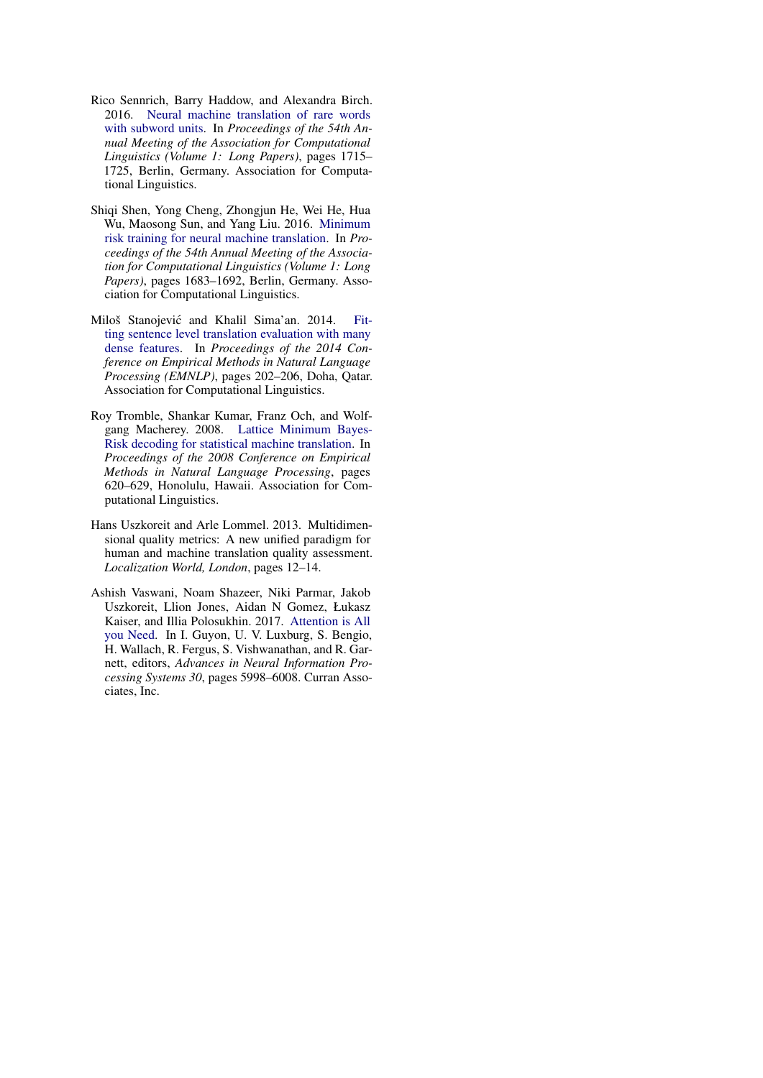- <span id="page-10-4"></span>Rico Sennrich, Barry Haddow, and Alexandra Birch. 2016. [Neural machine translation of rare words](https://doi.org/10.18653/v1/P16-1162) [with subword units.](https://doi.org/10.18653/v1/P16-1162) In *Proceedings of the 54th Annual Meeting of the Association for Computational Linguistics (Volume 1: Long Papers)*, pages 1715– 1725, Berlin, Germany. Association for Computational Linguistics.
- <span id="page-10-0"></span>Shiqi Shen, Yong Cheng, Zhongjun He, Wei He, Hua Wu, Maosong Sun, and Yang Liu. 2016. [Minimum](https://doi.org/10.18653/v1/P16-1159) [risk training for neural machine translation.](https://doi.org/10.18653/v1/P16-1159) In *Proceedings of the 54th Annual Meeting of the Association for Computational Linguistics (Volume 1: Long Papers)*, pages 1683–1692, Berlin, Germany. Association for Computational Linguistics.
- <span id="page-10-2"></span>Miloš Stanojević and Khalil Sima'an. 2014. [Fit](https://doi.org/10.3115/v1/D14-1025)[ting sentence level translation evaluation with many](https://doi.org/10.3115/v1/D14-1025) [dense features.](https://doi.org/10.3115/v1/D14-1025) In *Proceedings of the 2014 Conference on Empirical Methods in Natural Language Processing (EMNLP)*, pages 202–206, Doha, Qatar. Association for Computational Linguistics.
- <span id="page-10-1"></span>Roy Tromble, Shankar Kumar, Franz Och, and Wolfgang Macherey. 2008. [Lattice Minimum Bayes-](https://aclanthology.org/D08-1065)[Risk decoding for statistical machine translation.](https://aclanthology.org/D08-1065) In *Proceedings of the 2008 Conference on Empirical Methods in Natural Language Processing*, pages 620–629, Honolulu, Hawaii. Association for Computational Linguistics.
- <span id="page-10-5"></span>Hans Uszkoreit and Arle Lommel. 2013. Multidimensional quality metrics: A new unified paradigm for human and machine translation quality assessment. *Localization World, London*, pages 12–14.
- <span id="page-10-3"></span>Ashish Vaswani, Noam Shazeer, Niki Parmar, Jakob Uszkoreit, Llion Jones, Aidan N Gomez, Łukasz Kaiser, and Illia Polosukhin. 2017. [Attention is All](http://papers.nips.cc/paper/7181-attention-is-all-you-need.pdf) [you Need.](http://papers.nips.cc/paper/7181-attention-is-all-you-need.pdf) In I. Guyon, U. V. Luxburg, S. Bengio, H. Wallach, R. Fergus, S. Vishwanathan, and R. Garnett, editors, *Advances in Neural Information Processing Systems 30*, pages 5998–6008. Curran Associates, Inc.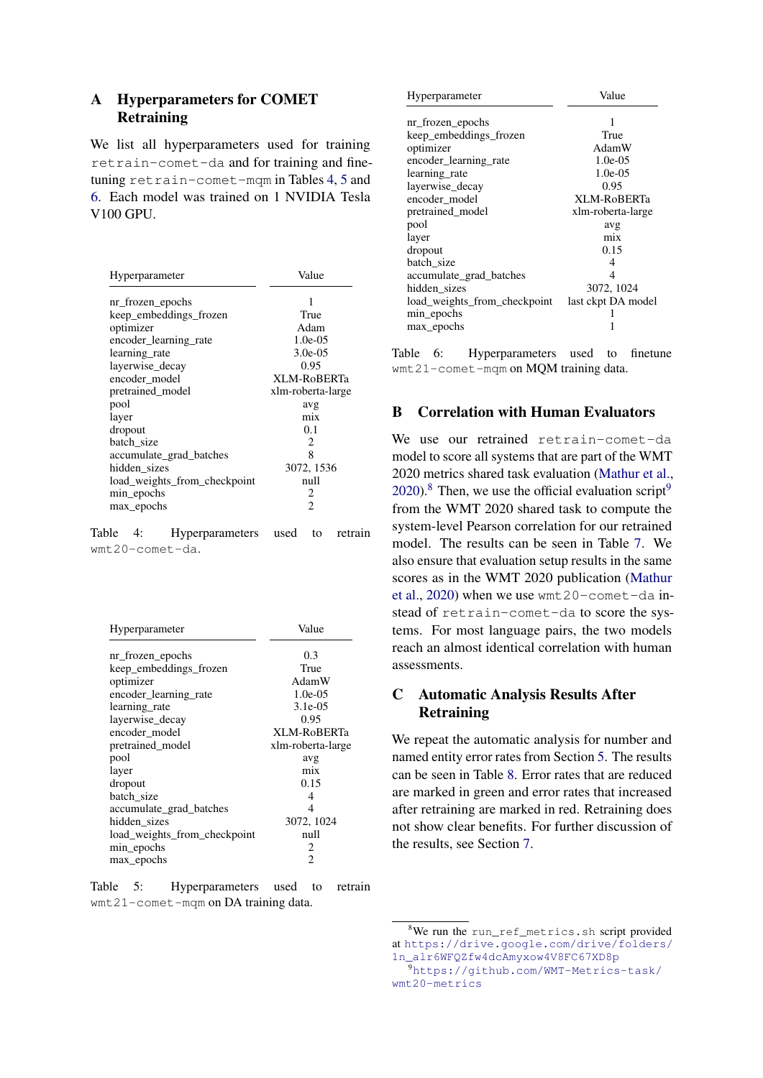## <span id="page-11-0"></span>A Hyperparameters for COMET **Retraining**

We list all hyperparameters used for training retrain-comet-da and for training and finetuning retrain-comet-mqm in Tables [4,](#page-11-3) [5](#page-11-4) and [6.](#page-11-5) Each model was trained on 1 NVIDIA Tesla **V100 GPU.** 

<span id="page-11-3"></span>

| Hyperparameter               | Value             |
|------------------------------|-------------------|
| nr frozen epochs             | 1                 |
| keep embeddings frozen       | True              |
| optimizer                    | Adam              |
| encoder_learning_rate        | $1.0e-0.5$        |
| learning rate                | $3.0e-0.5$        |
| layerwise_decay              | 0.95              |
| encoder model                | XLM-RoBERTa       |
| pretrained model             | xlm-roberta-large |
| pool                         | avg               |
| layer                        | mix               |
| dropout                      | 0.1               |
| batch size                   | 2                 |
| accumulate grad batches      | 8                 |
| hidden sizes                 | 3072, 1536        |
| load_weights_from_checkpoint | null              |
| min epochs                   | 2                 |
| max_epochs                   | 2                 |

Table 4: Hyperparameters used to retrain wmt20-comet-da.

<span id="page-11-4"></span>

| Hyperparameter               | Value             |
|------------------------------|-------------------|
| nr frozen epochs             | 0.3               |
| keep embeddings frozen       | True              |
| optimizer                    | AdamW             |
| encoder learning rate        | $1.0e-0.5$        |
| learning rate                | $3.1e-0.5$        |
| layerwise_decay              | 0.95              |
| encoder model                | XLM-RoBERTa       |
| pretrained_model             | xlm-roberta-large |
| pool                         | avg               |
| layer                        | mix               |
| dropout                      | 0.15              |
| batch size                   | 4                 |
| accumulate grad batches      | 4                 |
| hidden sizes                 | 3072, 1024        |
| load_weights_from_checkpoint | null              |
| min_epochs                   | 2                 |
| max_epochs                   | 2                 |

Table 5: Hyperparameters used to retrain wmt21-comet-mqm on DA training data.

<span id="page-11-5"></span>

| Hyperparameter               | Value              |
|------------------------------|--------------------|
| nr frozen epochs             | 1                  |
| keep_embeddings_frozen       | True               |
| optimizer                    | AdamW              |
| encoder_learning_rate        | $1.0e-0.5$         |
| learning rate                | $1.0e-0.5$         |
| layerwise_decay              | 0.95               |
| encoder model                | XLM-RoBERTa        |
| pretrained model             | xlm-roberta-large  |
| pool                         | avg                |
| layer                        | mix                |
| dropout                      | 0.15               |
| batch_size                   | 4                  |
| accumulate grad batches      | 4                  |
| hidden sizes                 | 3072, 1024         |
| load weights from checkpoint | last ckpt DA model |
| min epochs                   |                    |
| max_epochs                   |                    |

Table 6: Hyperparameters used to finetune wmt21-comet-mqm on MQM training data.

## <span id="page-11-1"></span>B Correlation with Human Evaluators

We use our retrained retrain-comet-da model to score all systems that are part of the WMT 2020 metrics shared task evaluation [\(Mathur et al.,](#page-9-2)  $2020$ .<sup>[8](#page-11-6)</sup> Then, we use the official evaluation script<sup>[9](#page-11-7)</sup> from the WMT 2020 shared task to compute the system-level Pearson correlation for our retrained model. The results can be seen in Table [7.](#page-12-0) We also ensure that evaluation setup results in the same scores as in the WMT 2020 publication [\(Mathur](#page-9-2) [et al.,](#page-9-2) [2020\)](#page-9-2) when we use wmt20-comet-da instead of retrain-comet-da to score the systems. For most language pairs, the two models reach an almost identical correlation with human assessments.

## <span id="page-11-2"></span>C Automatic Analysis Results After **Retraining**

We repeat the automatic analysis for number and named entity error rates from Section [5.](#page-3-0) The results can be seen in Table [8.](#page-12-1) Error rates that are reduced are marked in green and error rates that increased after retraining are marked in red. Retraining does not show clear benefits. For further discussion of the results, see Section [7.](#page-6-1)

<span id="page-11-6"></span><sup>&</sup>lt;sup>8</sup>We run the run\_ref\_metrics.sh script provided at [https://drive.google.com/drive/folders/](https://drive.google.com/drive/folders/1n_alr6WFQZfw4dcAmyxow4V8FC67XD8p) [1n\\_alr6WFQZfw4dcAmyxow4V8FC67XD8p](https://drive.google.com/drive/folders/1n_alr6WFQZfw4dcAmyxow4V8FC67XD8p)

<span id="page-11-7"></span><sup>9</sup>[https://github.com/WMT-Metrics-task/](https://github.com/WMT-Metrics-task/wmt20-metrics) [wmt20-metrics](https://github.com/WMT-Metrics-task/wmt20-metrics)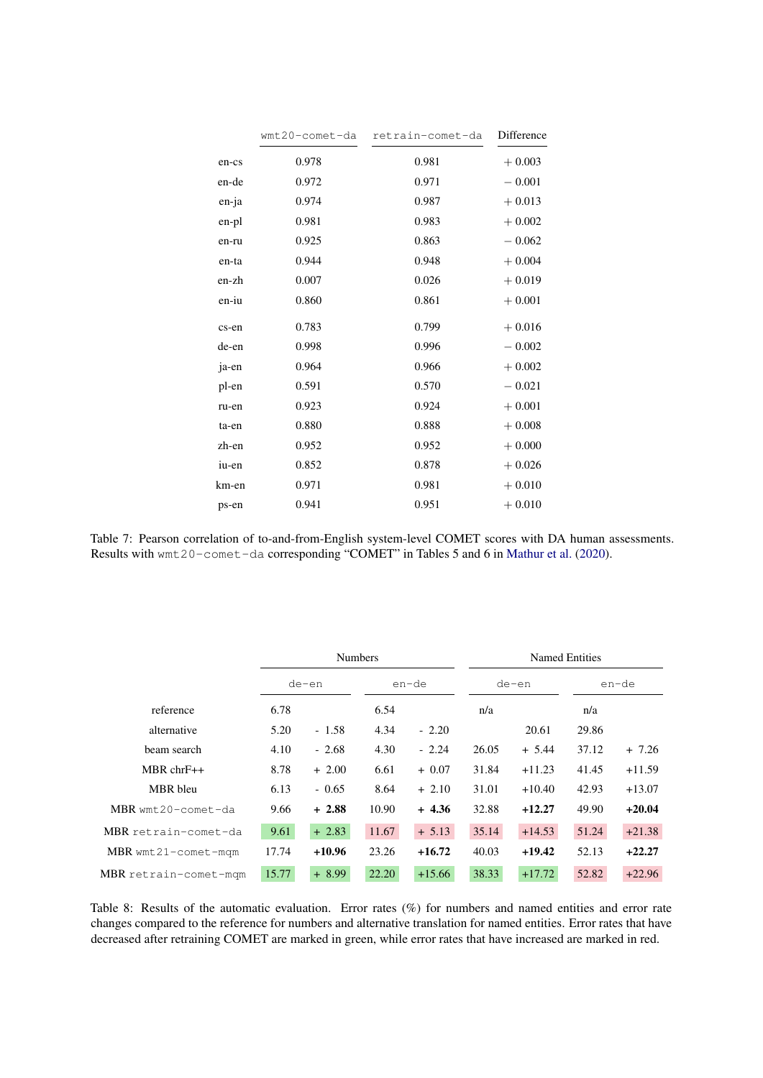<span id="page-12-0"></span>

|       |       | wmt20-comet-da retrain-comet-da | Difference |
|-------|-------|---------------------------------|------------|
| en-cs | 0.978 | 0.981                           | $+0.003$   |
| en-de | 0.972 | 0.971                           | $-0.001$   |
| en-ja | 0.974 | 0.987                           | $+0.013$   |
| en-pl | 0.981 | 0.983                           | $+0.002$   |
| en-ru | 0.925 | 0.863                           | $-0.062$   |
| en-ta | 0.944 | 0.948                           | $+0.004$   |
| en-zh | 0.007 | 0.026                           | $+0.019$   |
| en-iu | 0.860 | 0.861                           | $+0.001$   |
| cs-en | 0.783 | 0.799                           | $+0.016$   |
| de-en | 0.998 | 0.996                           | $-0.002$   |
| ja-en | 0.964 | 0.966                           | $+0.002$   |
| pl-en | 0.591 | 0.570                           | $-0.021$   |
| ru-en | 0.923 | 0.924                           | $+0.001$   |
| ta-en | 0.880 | 0.888                           | $+0.008$   |
| zh-en | 0.952 | 0.952                           | $+0.000$   |
| iu-en | 0.852 | 0.878                           | $+0.026$   |
| km-en | 0.971 | 0.981                           | $+0.010$   |
| ps-en | 0.941 | 0.951                           | $+0.010$   |

Table 7: Pearson correlation of to-and-from-English system-level COMET scores with DA human assessments. Results with wmt20-comet-da corresponding "COMET" in Tables 5 and 6 in [Mathur et al.](#page-9-2) [\(2020\)](#page-9-2).

<span id="page-12-1"></span>

|                       |       | <b>Numbers</b> |       |          | <b>Named Entities</b> |          |       |          |
|-----------------------|-------|----------------|-------|----------|-----------------------|----------|-------|----------|
|                       | de-en |                | en-de |          | de-en                 |          | en-de |          |
| reference             | 6.78  |                | 6.54  |          | n/a                   |          | n/a   |          |
| alternative           | 5.20  | $-1.58$        | 4.34  | $-2.20$  |                       | 20.61    | 29.86 |          |
| beam search           | 4.10  | $-2.68$        | 4.30  | $-2.24$  | 26.05                 | $+ 5.44$ | 37.12 | $+7.26$  |
| $MBR$ chr $F++$       | 8.78  | $+2.00$        | 6.61  | $+0.07$  | 31.84                 | $+11.23$ | 41.45 | $+11.59$ |
| MBR bleu              | 6.13  | $-0.65$        | 8.64  | $+2.10$  | 31.01                 | $+10.40$ | 42.93 | $+13.07$ |
| $MBR$ wmt20-comet-da  | 9.66  | $+2.88$        | 10.90 | $+4.36$  | 32.88                 | $+12.27$ | 49.90 | $+20.04$ |
| MBR retrain-comet-da  | 9.61  | $+2.83$        | 11.67 | $+ 5.13$ | 35.14                 | $+14.53$ | 51.24 | $+21.38$ |
| $MBR$ wmt21-comet-mqm | 17.74 | $+10.96$       | 23.26 | $+16.72$ | 40.03                 | $+19.42$ | 52.13 | $+22.27$ |
| MBR retrain-comet-mgm | 15.77 | $+8.99$        | 22.20 | $+15.66$ | 38.33                 | $+17.72$ | 52.82 | $+22.96$ |

Table 8: Results of the automatic evaluation. Error rates (%) for numbers and named entities and error rate changes compared to the reference for numbers and alternative translation for named entities. Error rates that have decreased after retraining COMET are marked in green, while error rates that have increased are marked in red.